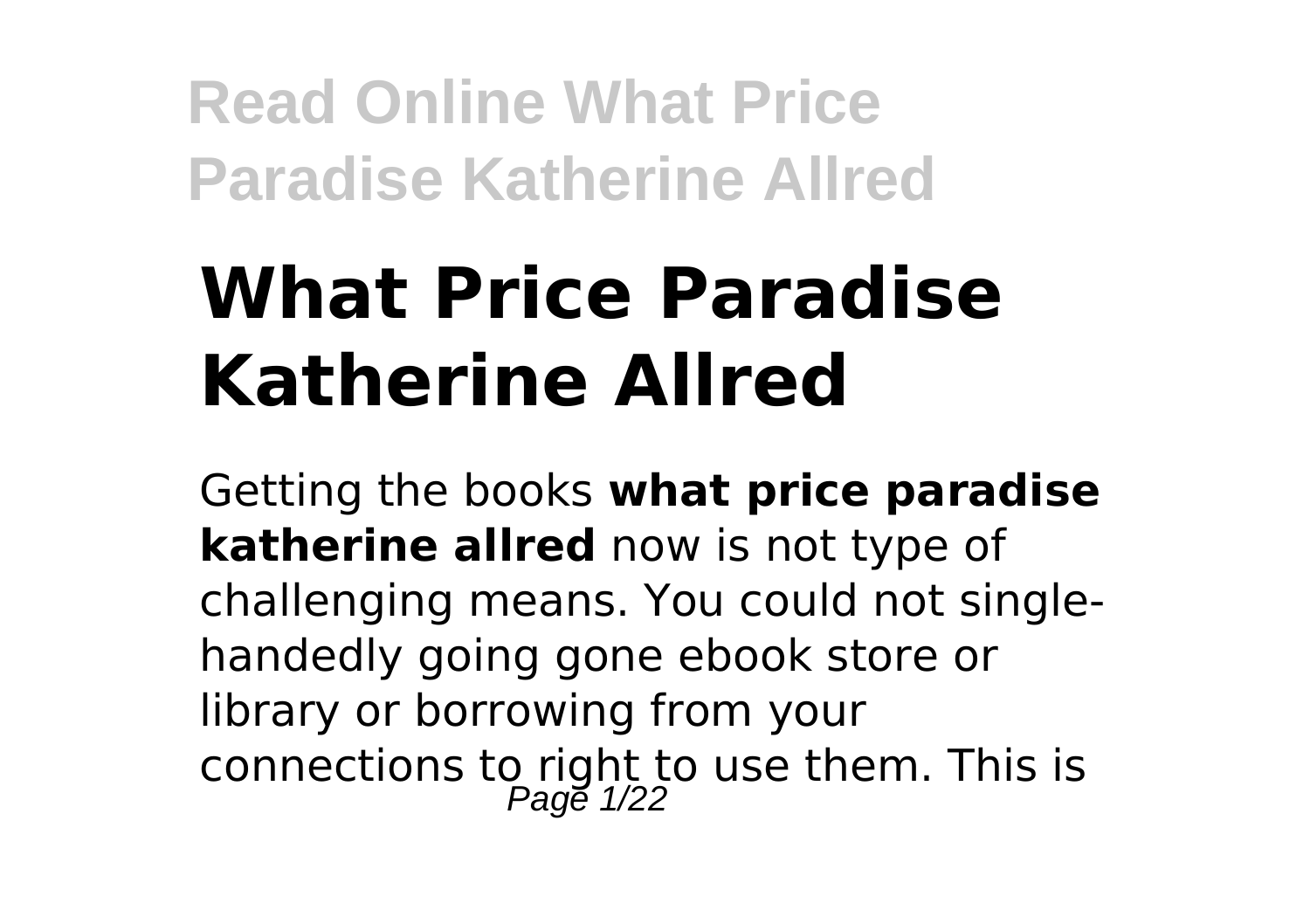# **What Price Paradise Katherine Allred**

Getting the books **what price paradise katherine allred** now is not type of challenging means. You could not singlehandedly going gone ebook store or library or borrowing from your connections to right to use them. This is<br> $P_{\text{age 1/22}}$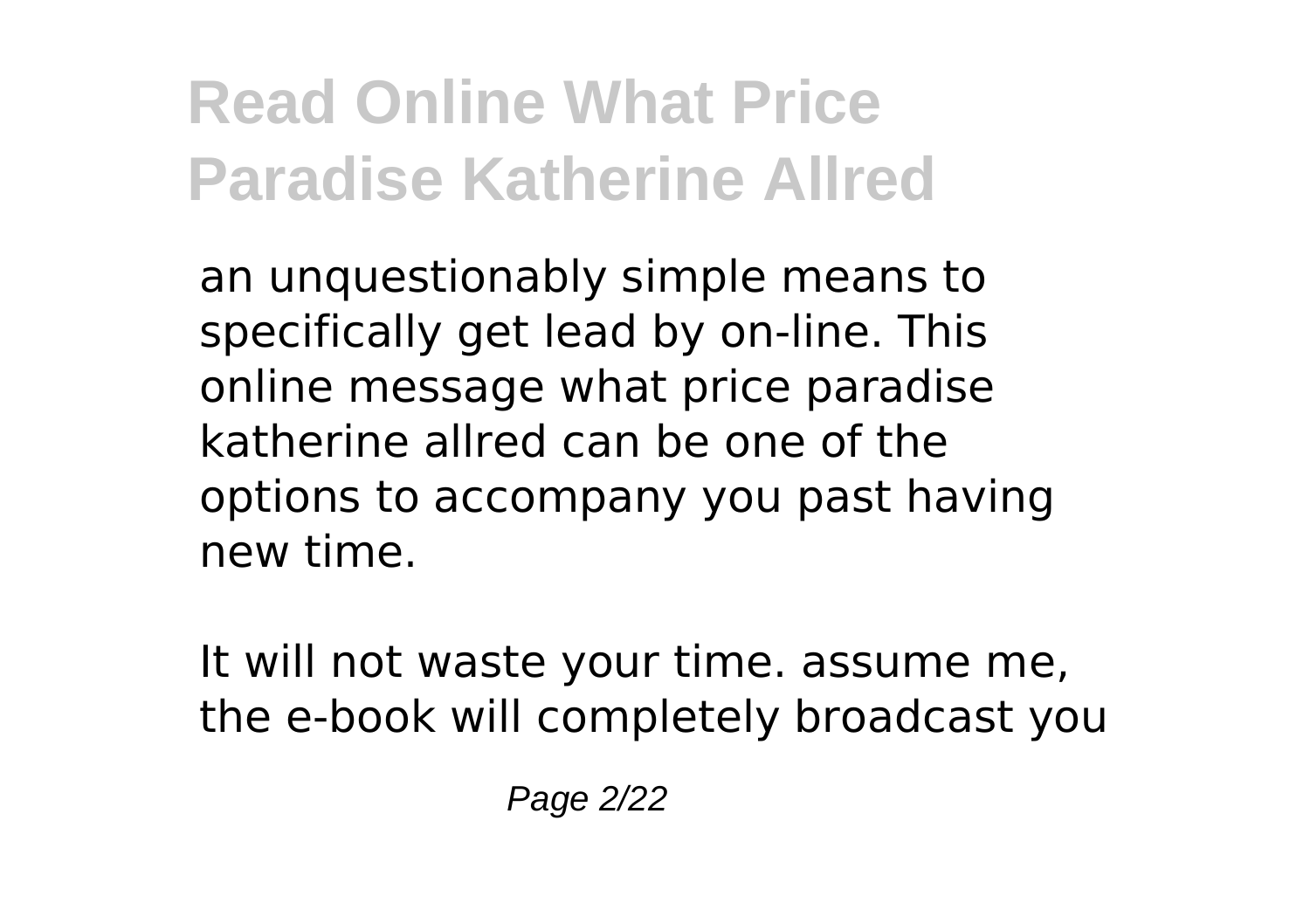an unquestionably simple means to specifically get lead by on-line. This online message what price paradise katherine allred can be one of the options to accompany you past having new time.

It will not waste your time. assume me, the e-book will completely broadcast you

Page 2/22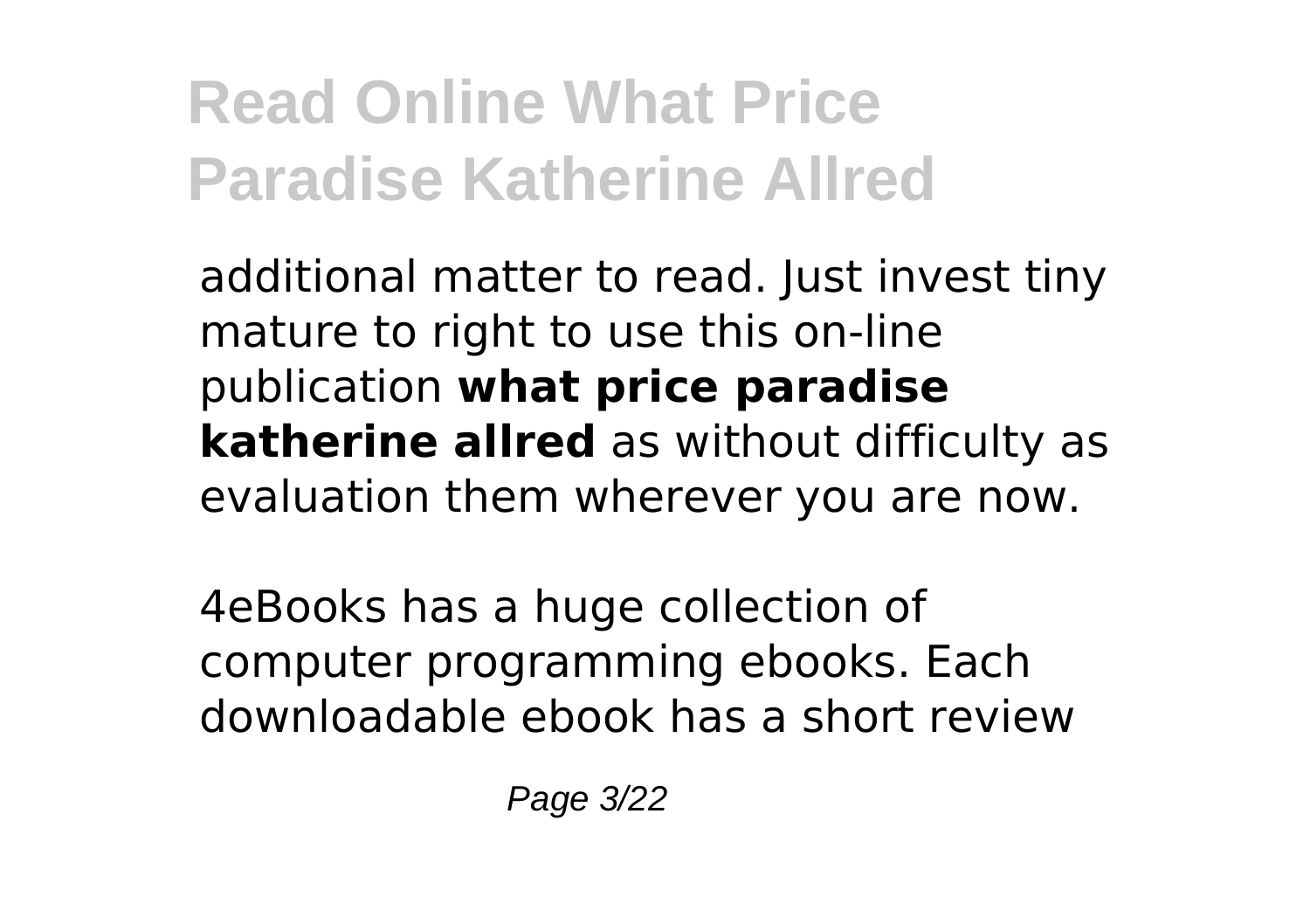additional matter to read. Just invest tiny mature to right to use this on-line publication **what price paradise katherine allred** as without difficulty as evaluation them wherever you are now.

4eBooks has a huge collection of computer programming ebooks. Each downloadable ebook has a short review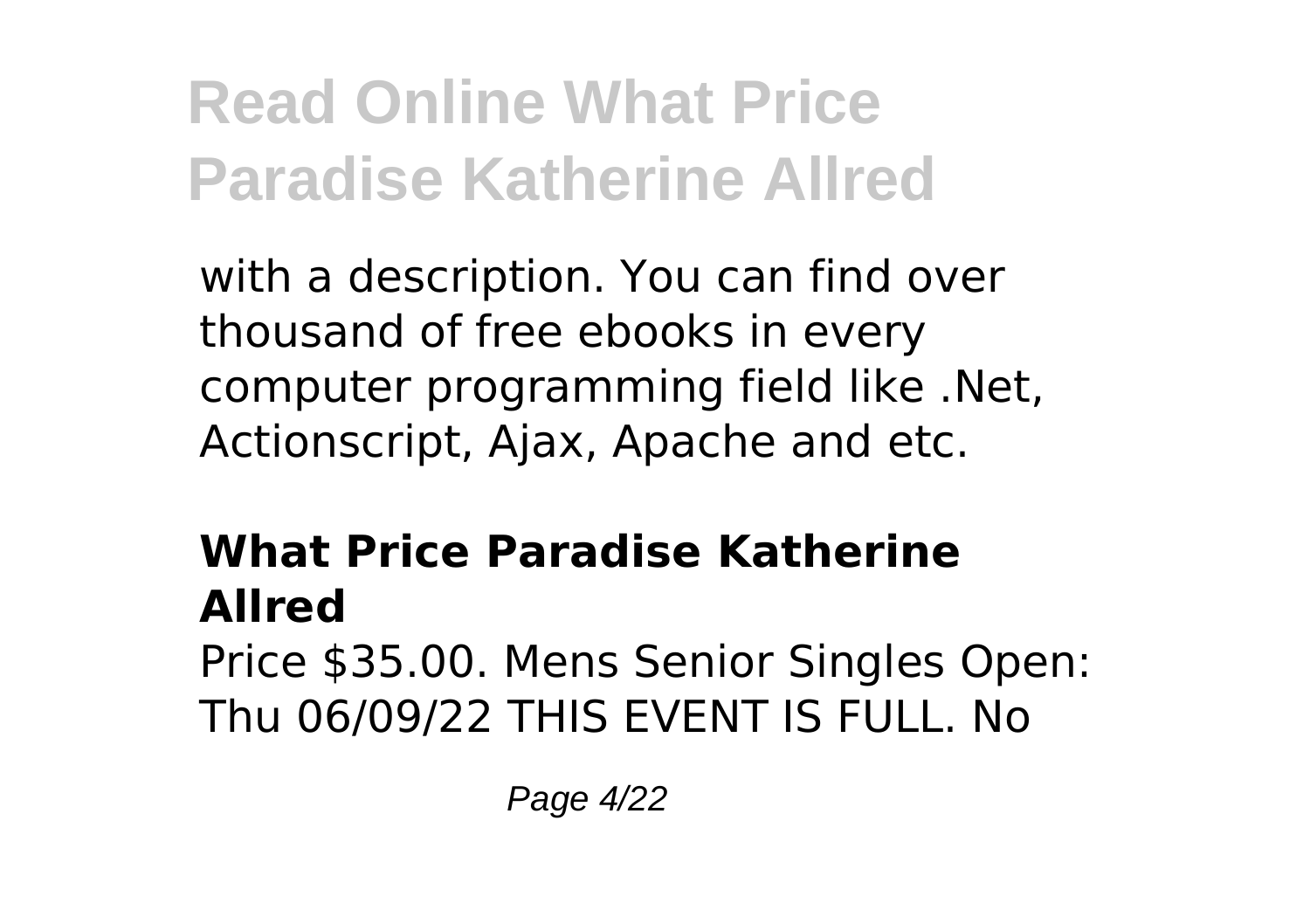with a description. You can find over thousand of free ebooks in every computer programming field like .Net, Actionscript, Ajax, Apache and etc.

### **What Price Paradise Katherine Allred**

Price \$35.00. Mens Senior Singles Open: Thu 06/09/22 THIS EVENT IS FULL. No

Page 4/22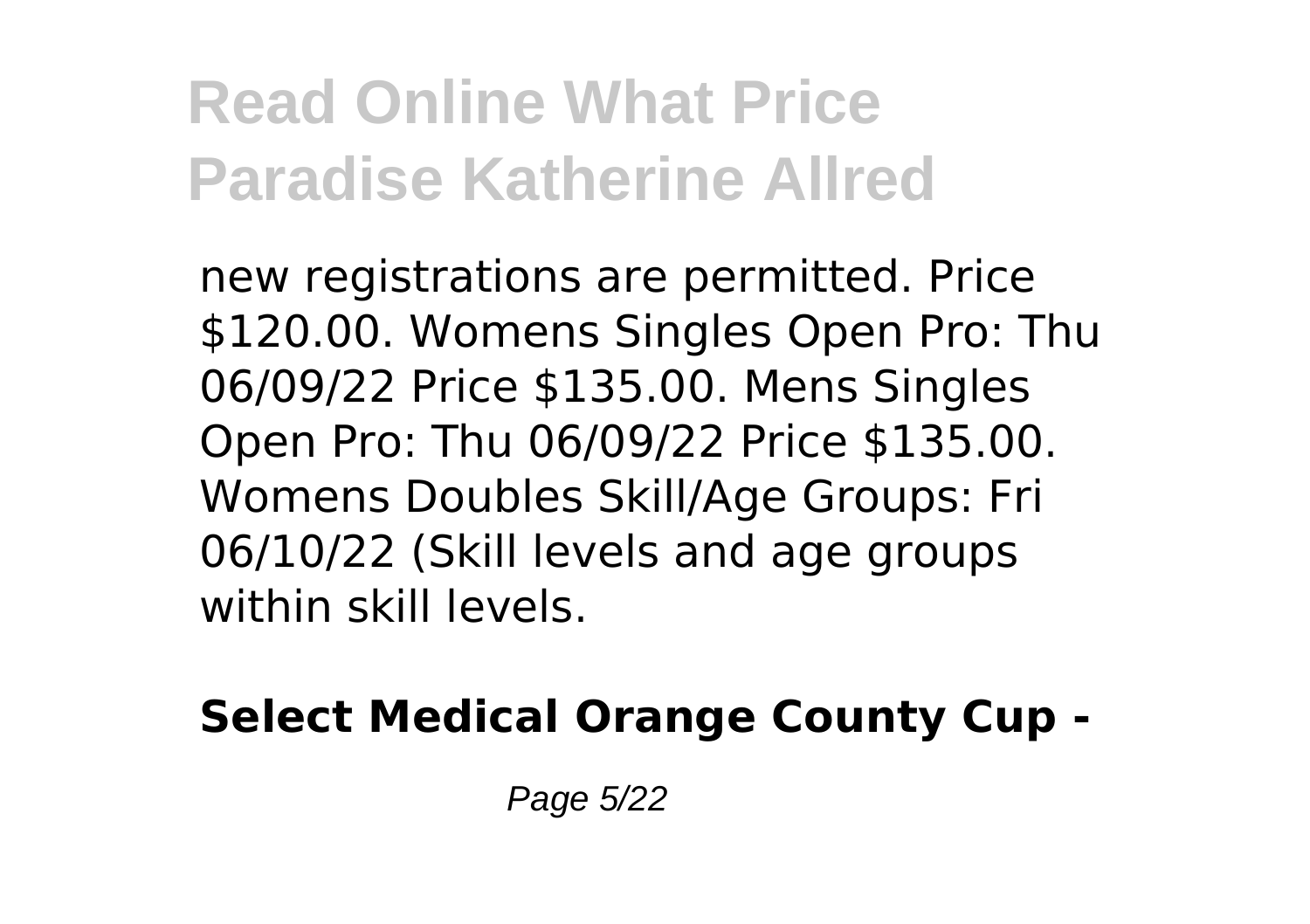new registrations are permitted. Price \$120.00. Womens Singles Open Pro: Thu 06/09/22 Price \$135.00. Mens Singles Open Pro: Thu 06/09/22 Price \$135.00. Womens Doubles Skill/Age Groups: Fri 06/10/22 (Skill levels and age groups within skill levels.

#### **Select Medical Orange County Cup -**

Page 5/22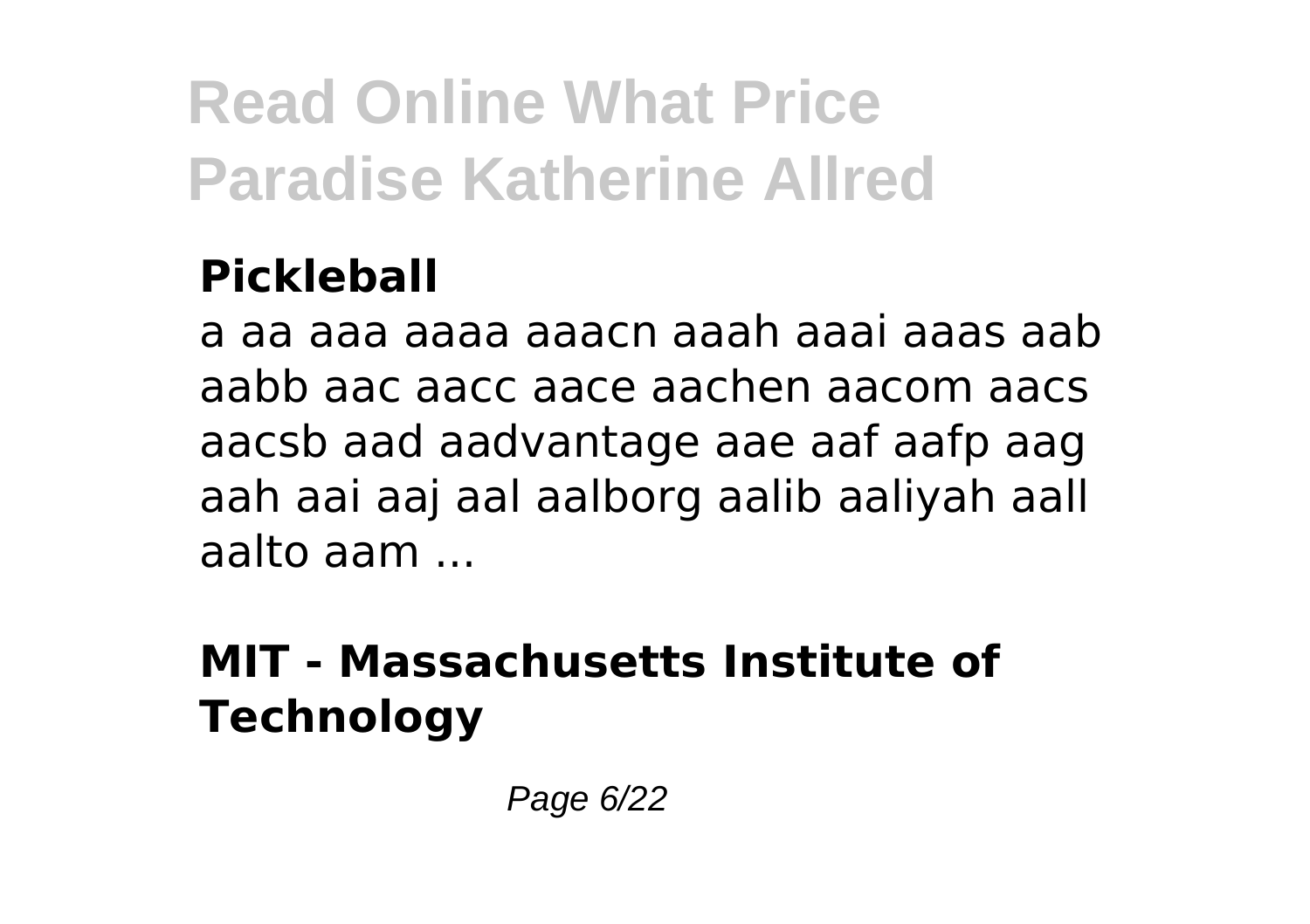### **Pickleball**

a aa aaa aaaa aaacn aaah aaai aaas aab aabb aac aacc aace aachen aacom aacs aacsb aad aadvantage aae aaf aafp aag aah aai aaj aal aalborg aalib aaliyah aall aalto aam ...

### **MIT - Massachusetts Institute of Technology**

Page 6/22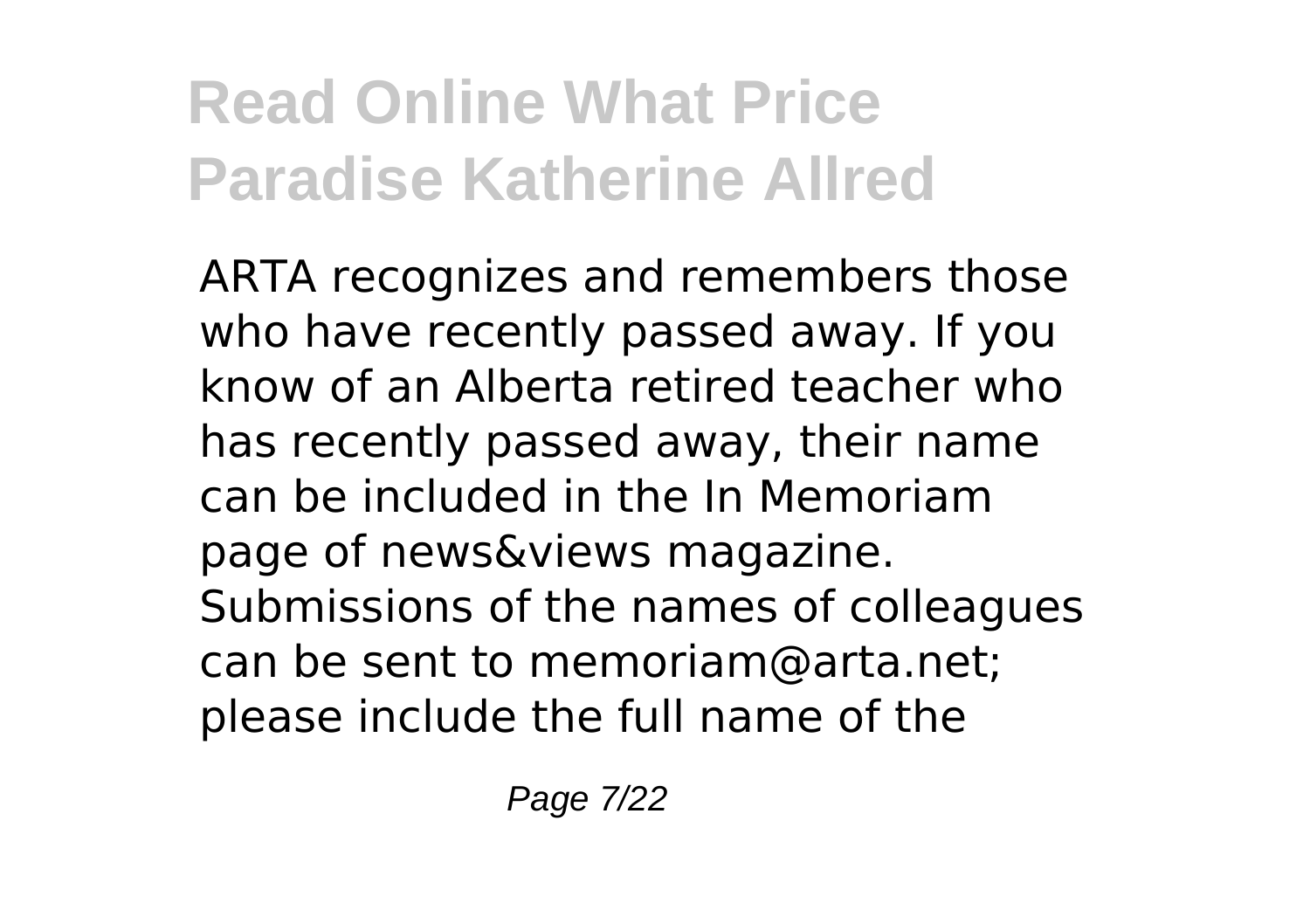ARTA recognizes and remembers those who have recently passed away. If you know of an Alberta retired teacher who has recently passed away, their name can be included in the In Memoriam page of news&views magazine. Submissions of the names of colleagues can be sent to memoriam@arta.net; please include the full name of the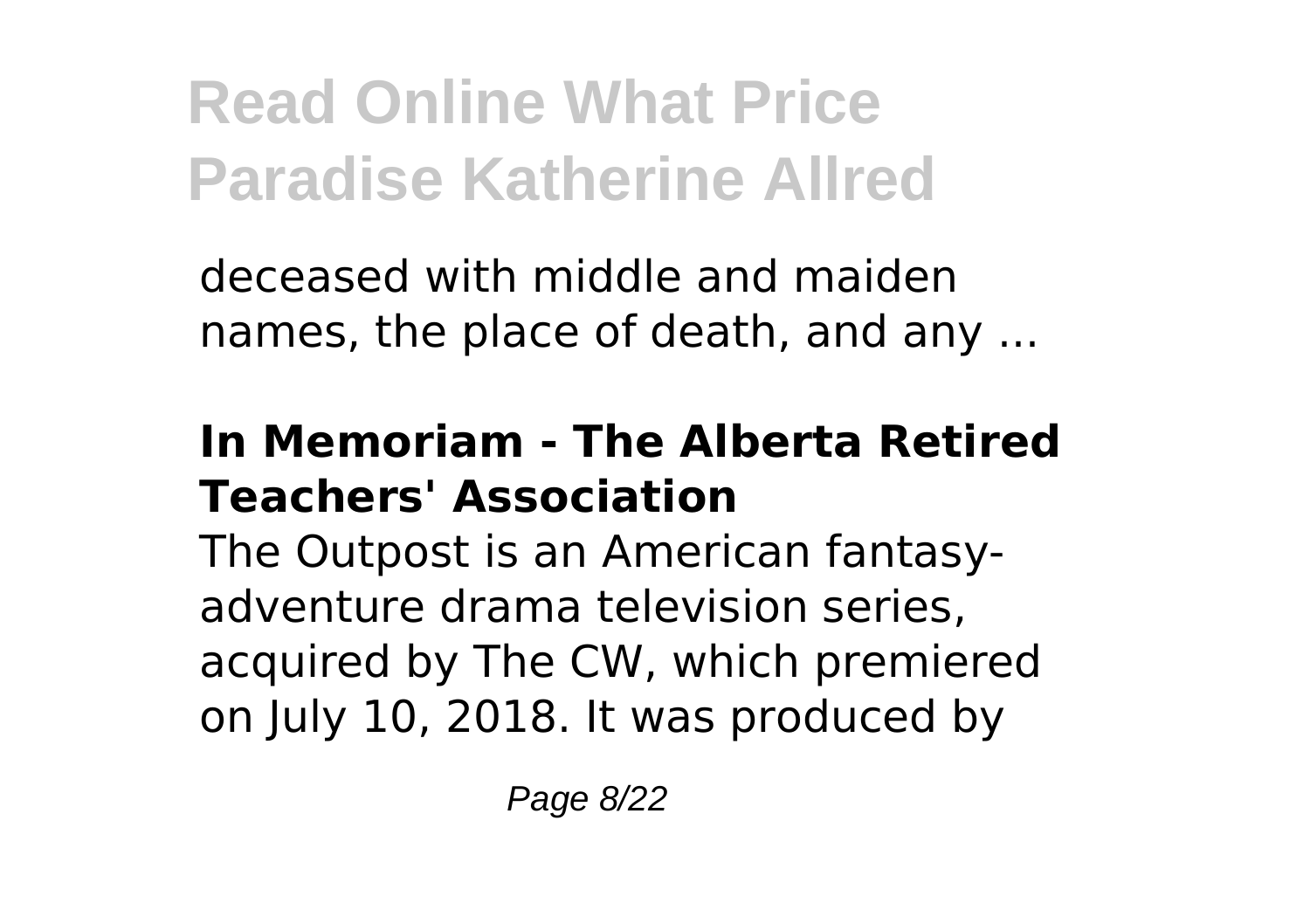deceased with middle and maiden names, the place of death, and any ...

#### **In Memoriam - The Alberta Retired Teachers' Association**

The Outpost is an American fantasyadventure drama television series, acquired by The CW, which premiered on July 10, 2018. It was produced by

Page 8/22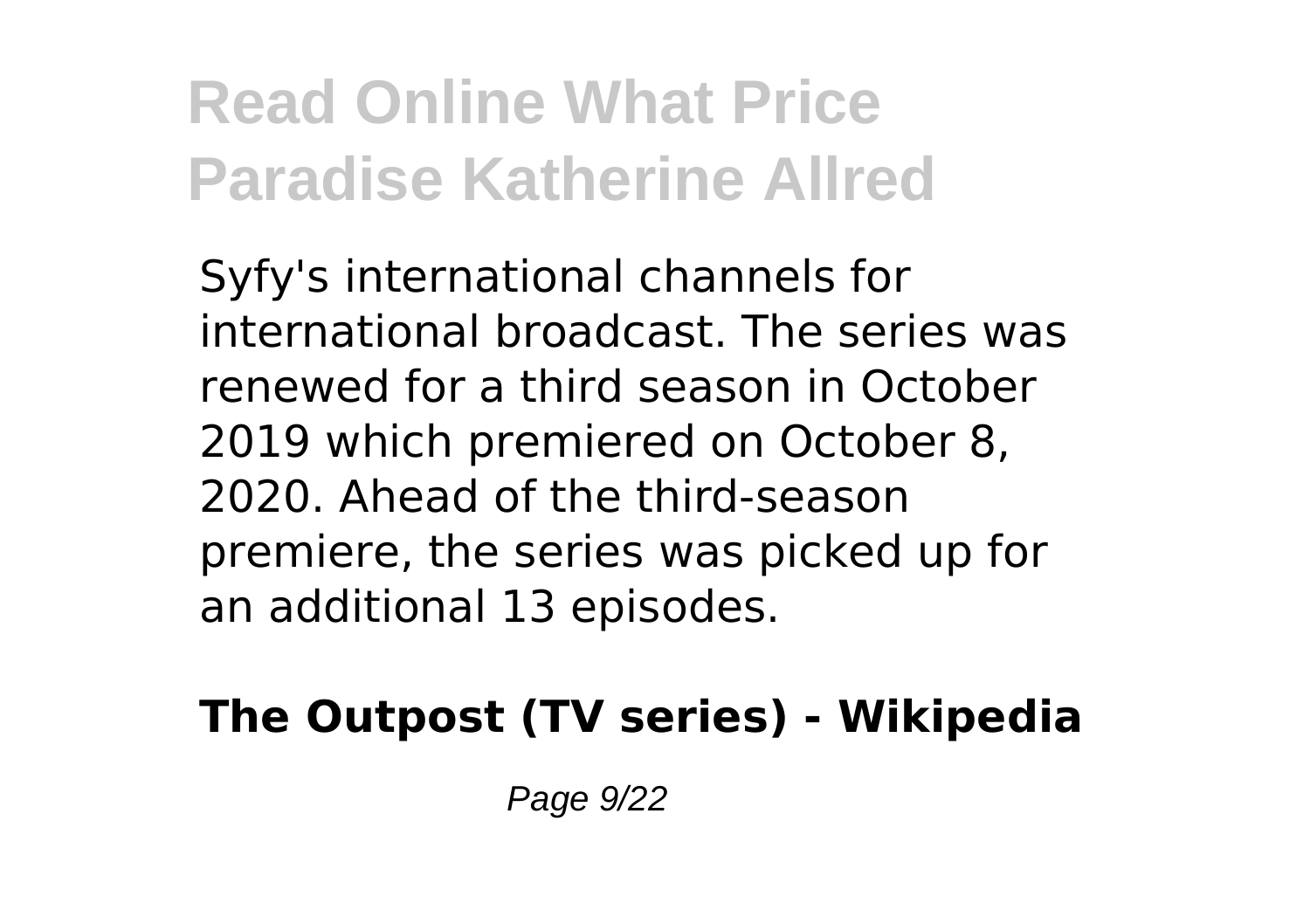Syfy's international channels for international broadcast. The series was renewed for a third season in October 2019 which premiered on October 8, 2020. Ahead of the third-season premiere, the series was picked up for an additional 13 episodes.

### **The Outpost (TV series) - Wikipedia**

Page 9/22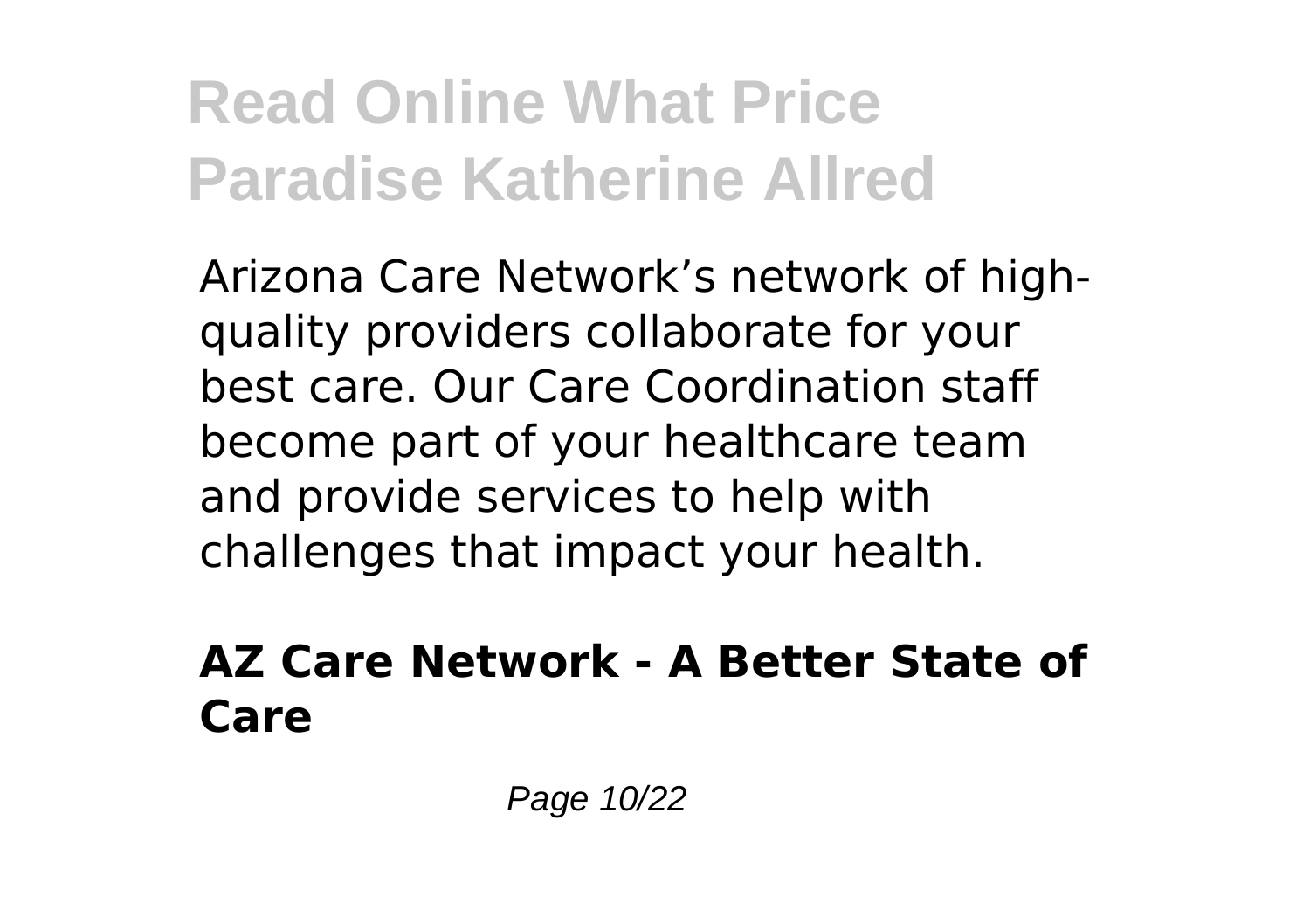Arizona Care Network's network of highquality providers collaborate for your best care. Our Care Coordination staff become part of your healthcare team and provide services to help with challenges that impact your health.

#### **AZ Care Network - A Better State of Care**

Page 10/22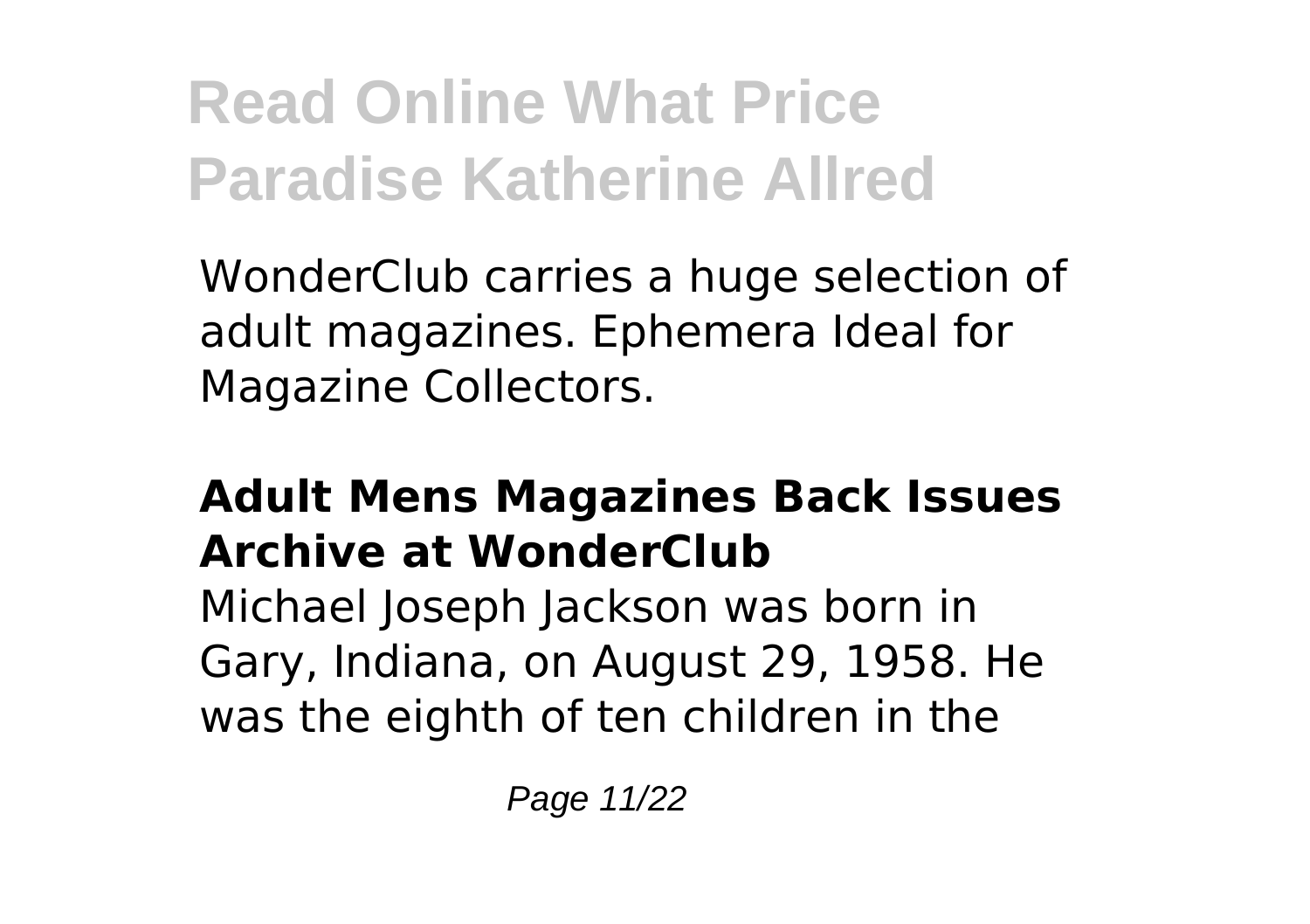WonderClub carries a huge selection of adult magazines. Ephemera Ideal for Magazine Collectors.

### **Adult Mens Magazines Back Issues Archive at WonderClub**

Michael Joseph Jackson was born in Gary, Indiana, on August 29, 1958. He was the eighth of ten children in the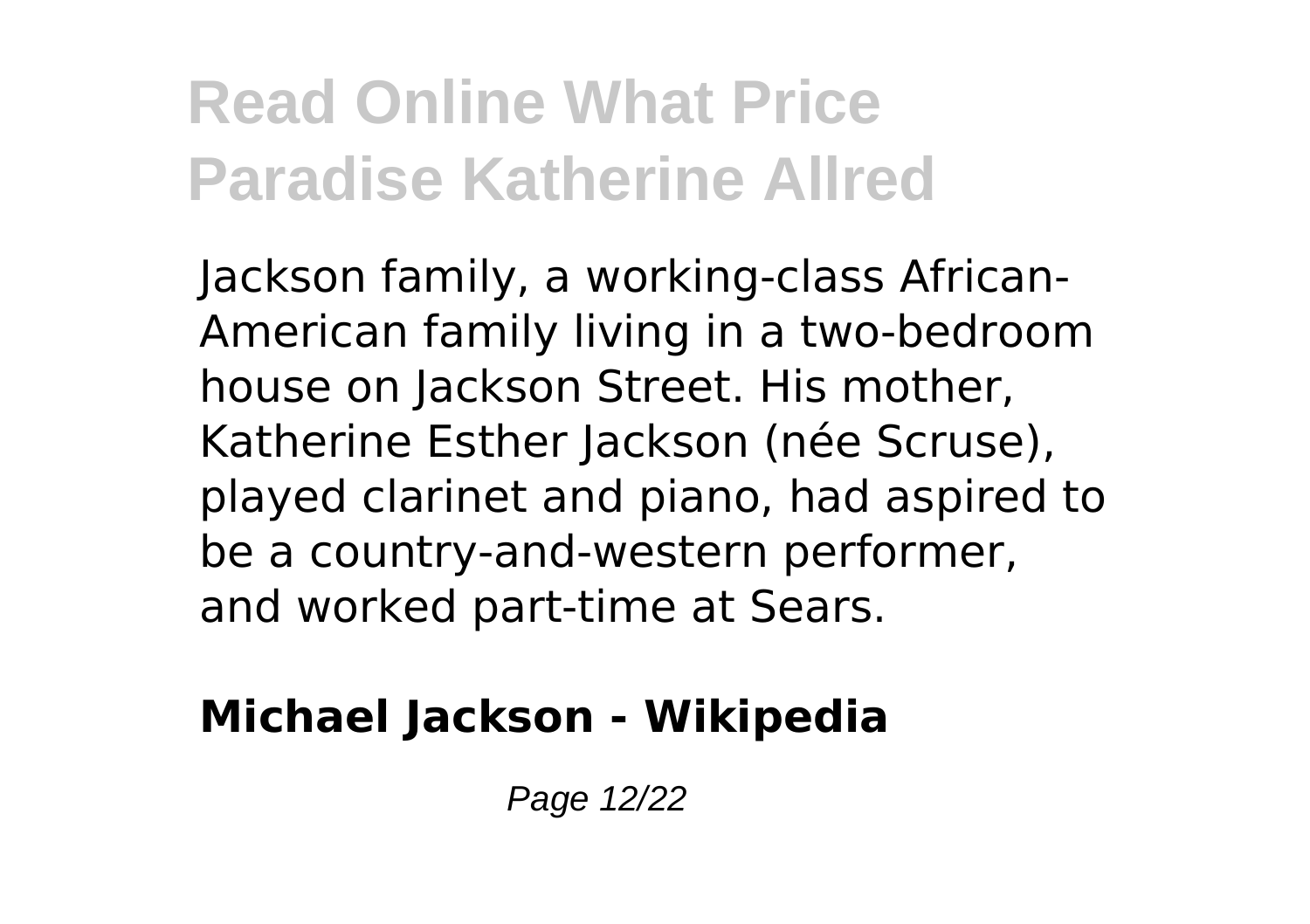Jackson family, a working-class African-American family living in a two-bedroom house on Jackson Street. His mother, Katherine Esther Jackson (née Scruse), played clarinet and piano, had aspired to be a country-and-western performer, and worked part-time at Sears.

### **Michael Jackson - Wikipedia**

Page 12/22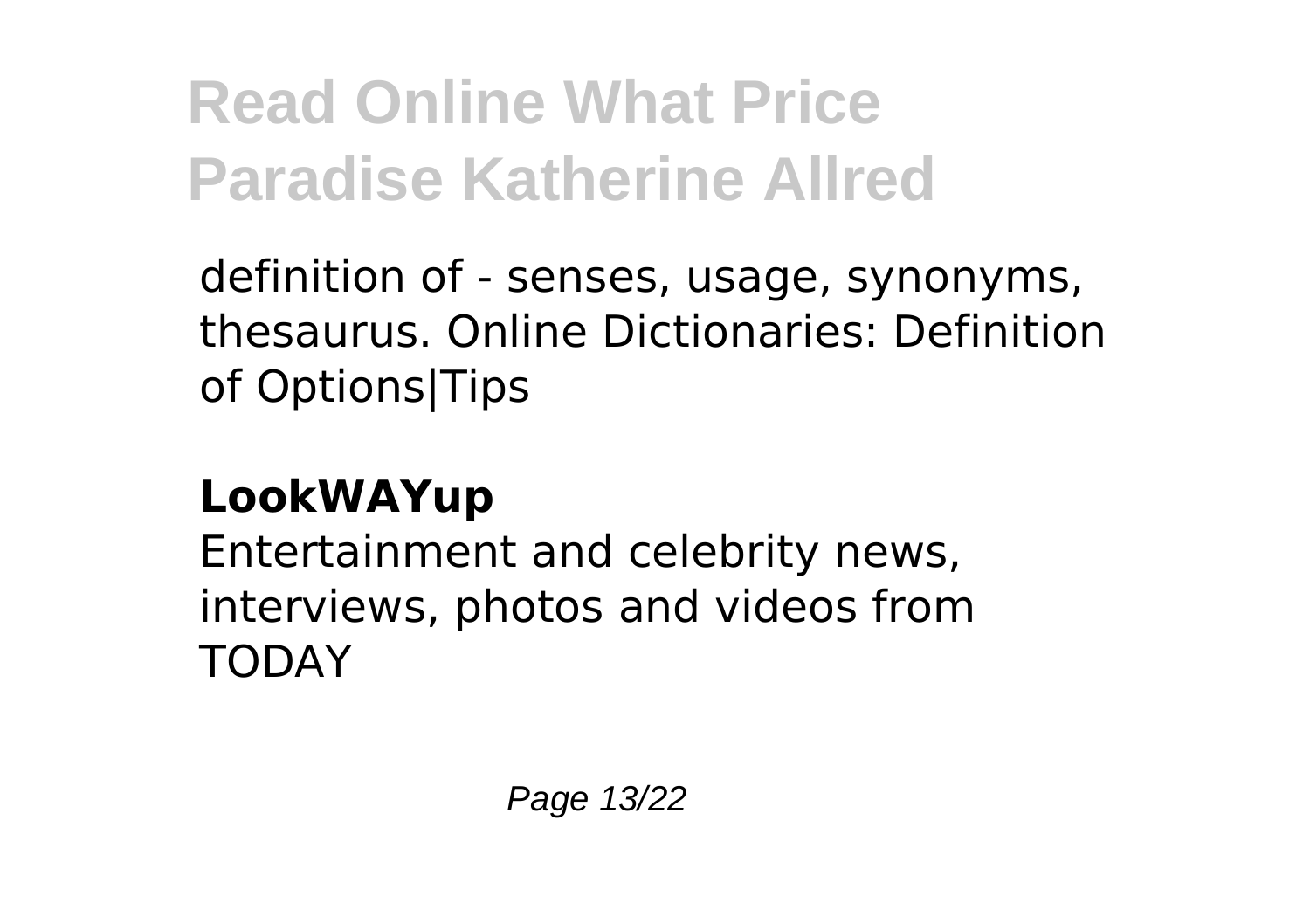definition of - senses, usage, synonyms, thesaurus. Online Dictionaries: Definition of Options|Tips

### **LookWAYup**

Entertainment and celebrity news, interviews, photos and videos from **TODAY**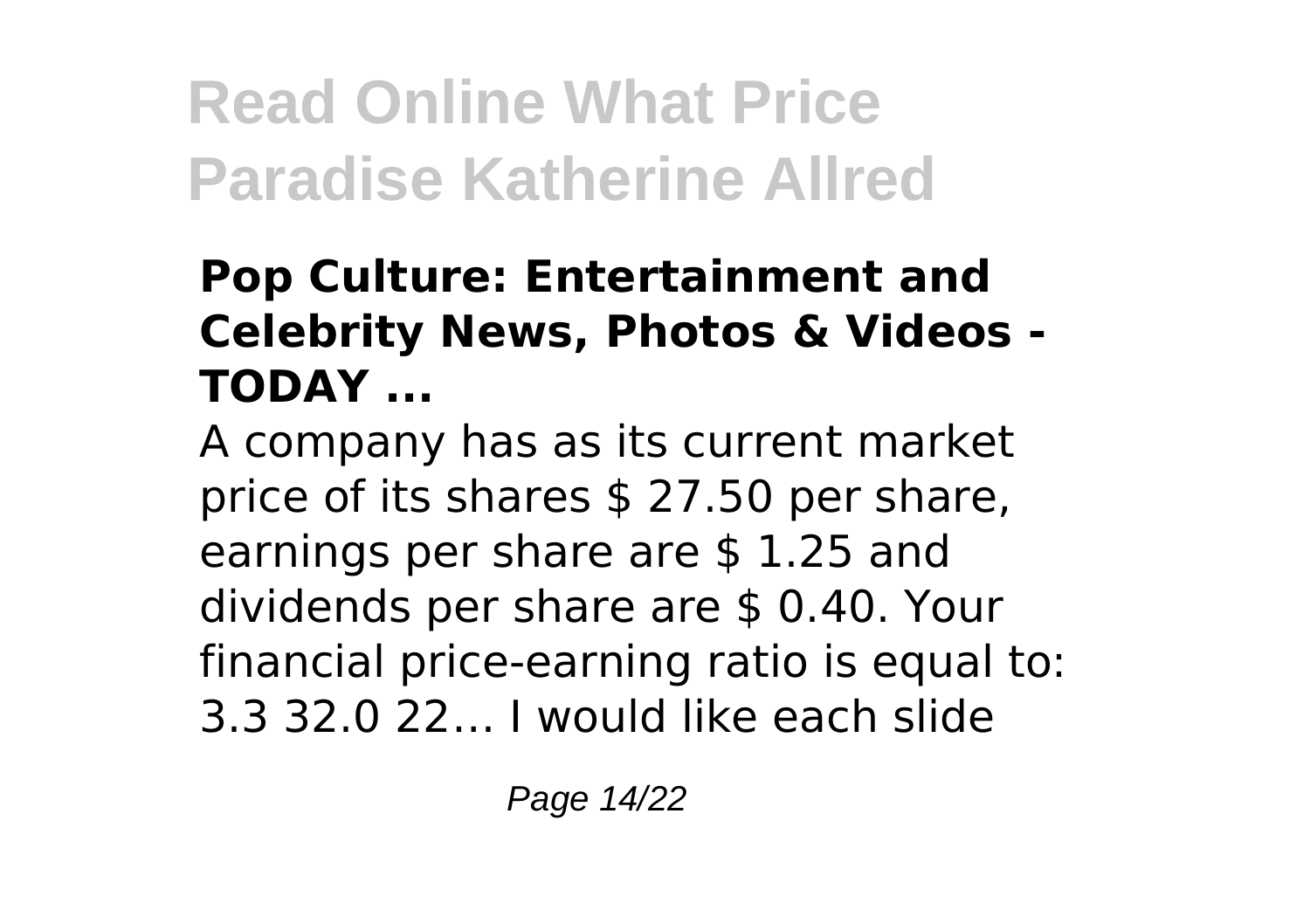#### **Pop Culture: Entertainment and Celebrity News, Photos & Videos - TODAY ...**

A company has as its current market price of its shares \$ 27.50 per share, earnings per share are \$ 1.25 and dividends per share are \$ 0.40. Your financial price-earning ratio is equal to: 3.3 32.0 22… I would like each slide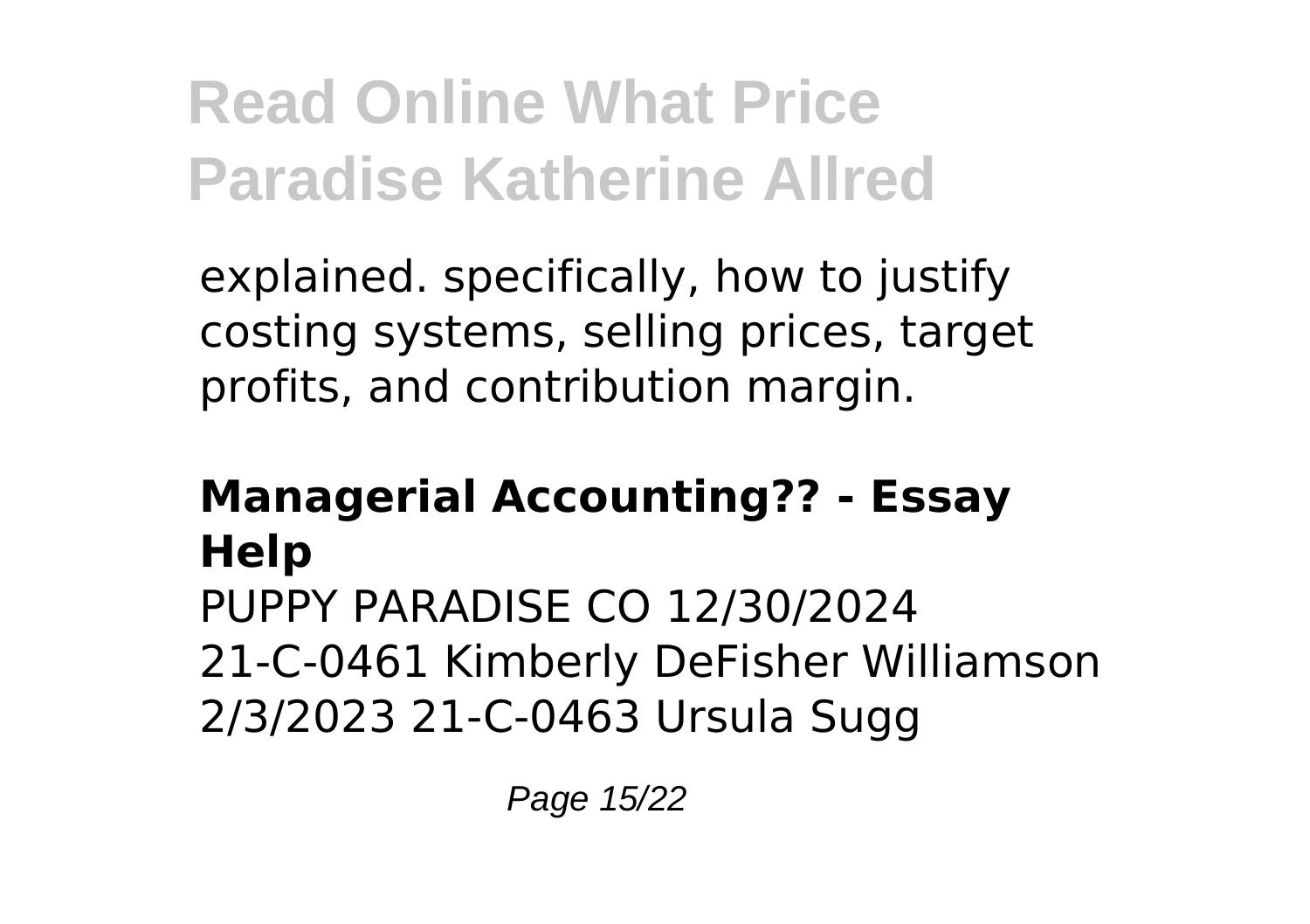explained. specifically, how to justify costing systems, selling prices, target profits, and contribution margin.

#### **Managerial Accounting?? - Essay Help** PUPPY PARADISE CO 12/30/2024 21-C-0461 Kimberly DeFisher Williamson 2/3/2023 21-C-0463 Ursula Sugg

Page 15/22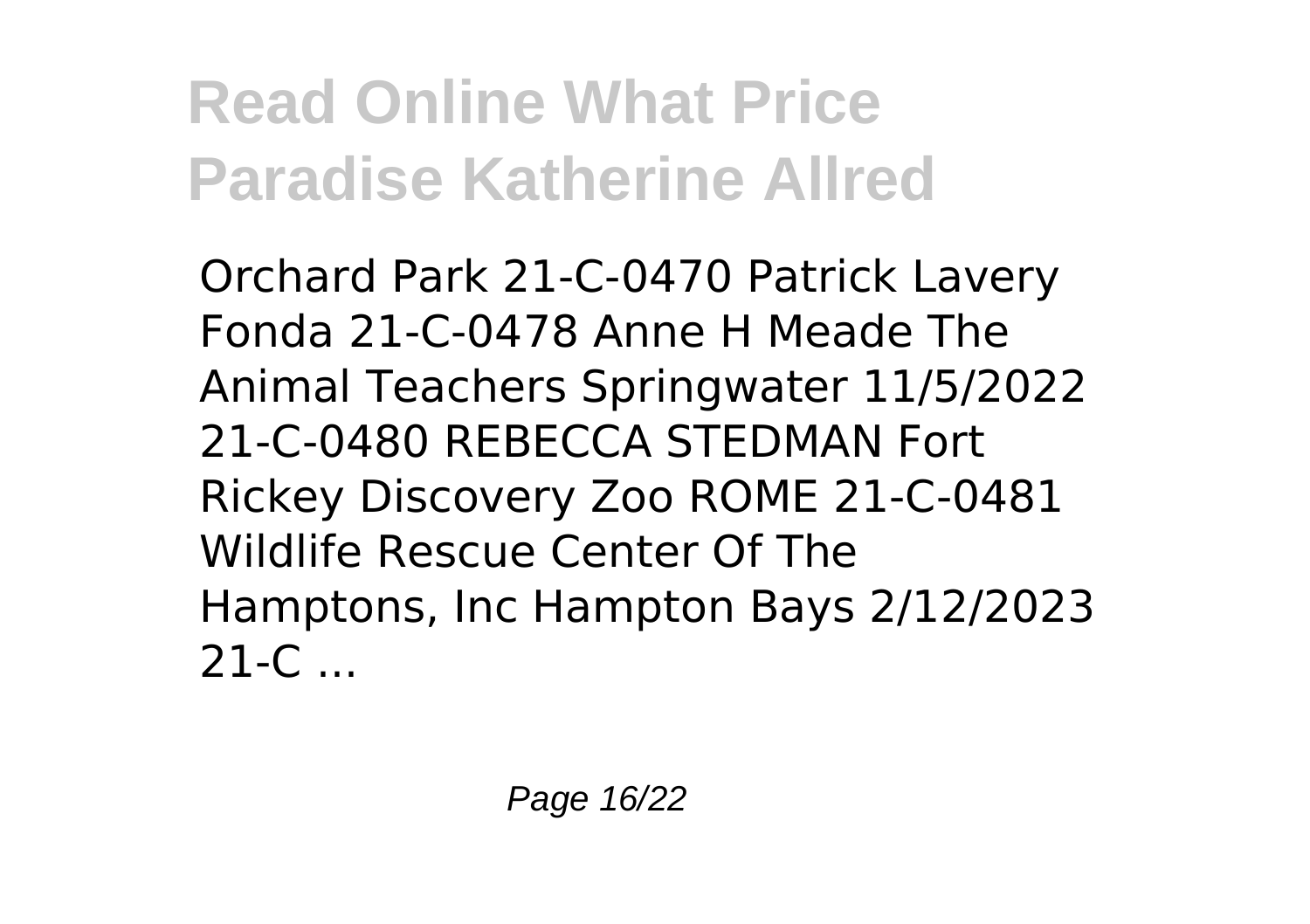Orchard Park 21-C-0470 Patrick Lavery Fonda 21-C-0478 Anne H Meade The Animal Teachers Springwater 11/5/2022 21-C-0480 REBECCA STEDMAN Fort Rickey Discovery Zoo ROME 21-C-0481 Wildlife Rescue Center Of The Hamptons, Inc Hampton Bays 2/12/2023  $21-C$  ...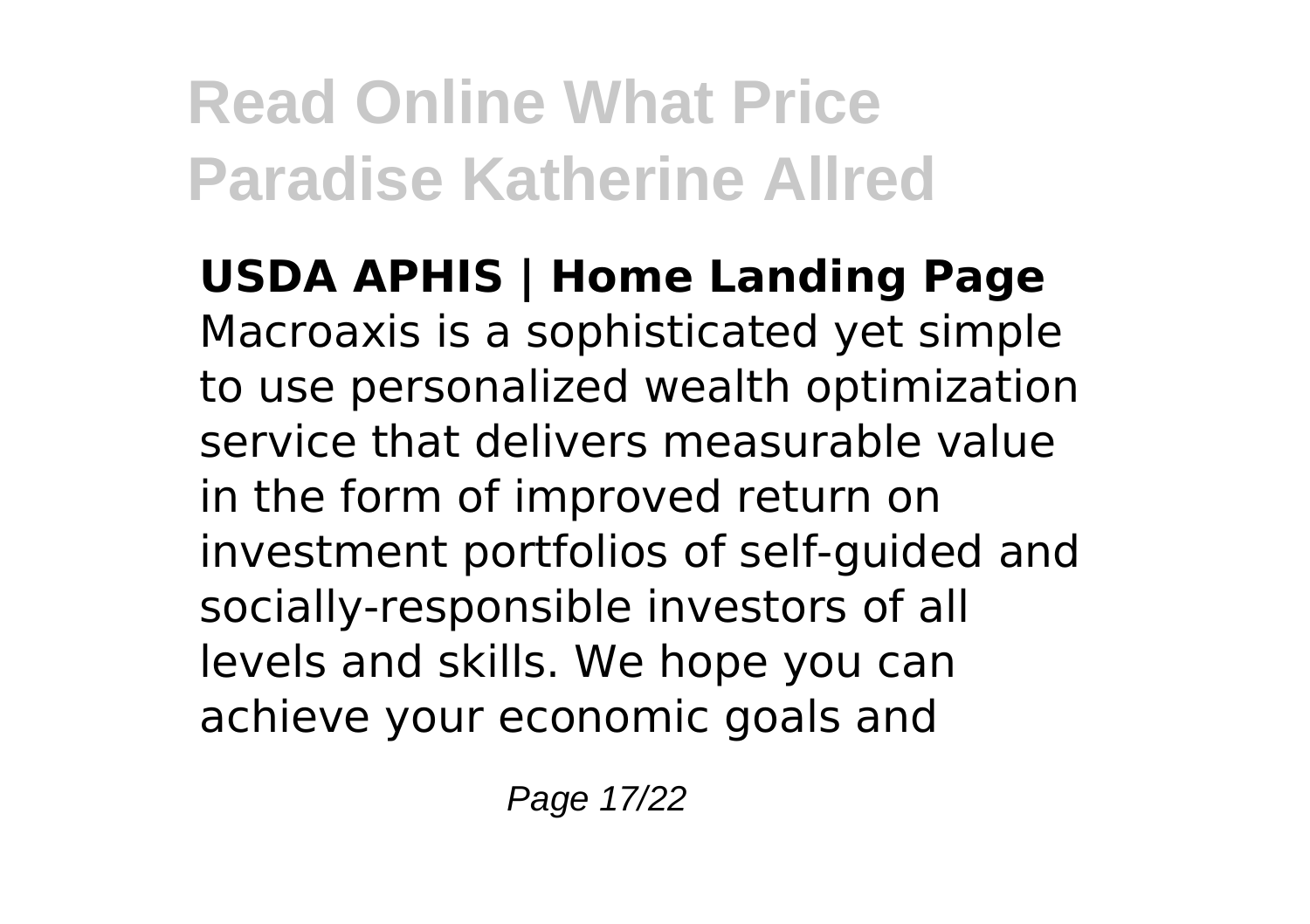**USDA APHIS | Home Landing Page** Macroaxis is a sophisticated yet simple to use personalized wealth optimization service that delivers measurable value in the form of improved return on investment portfolios of self-guided and socially-responsible investors of all levels and skills. We hope you can achieve your economic goals and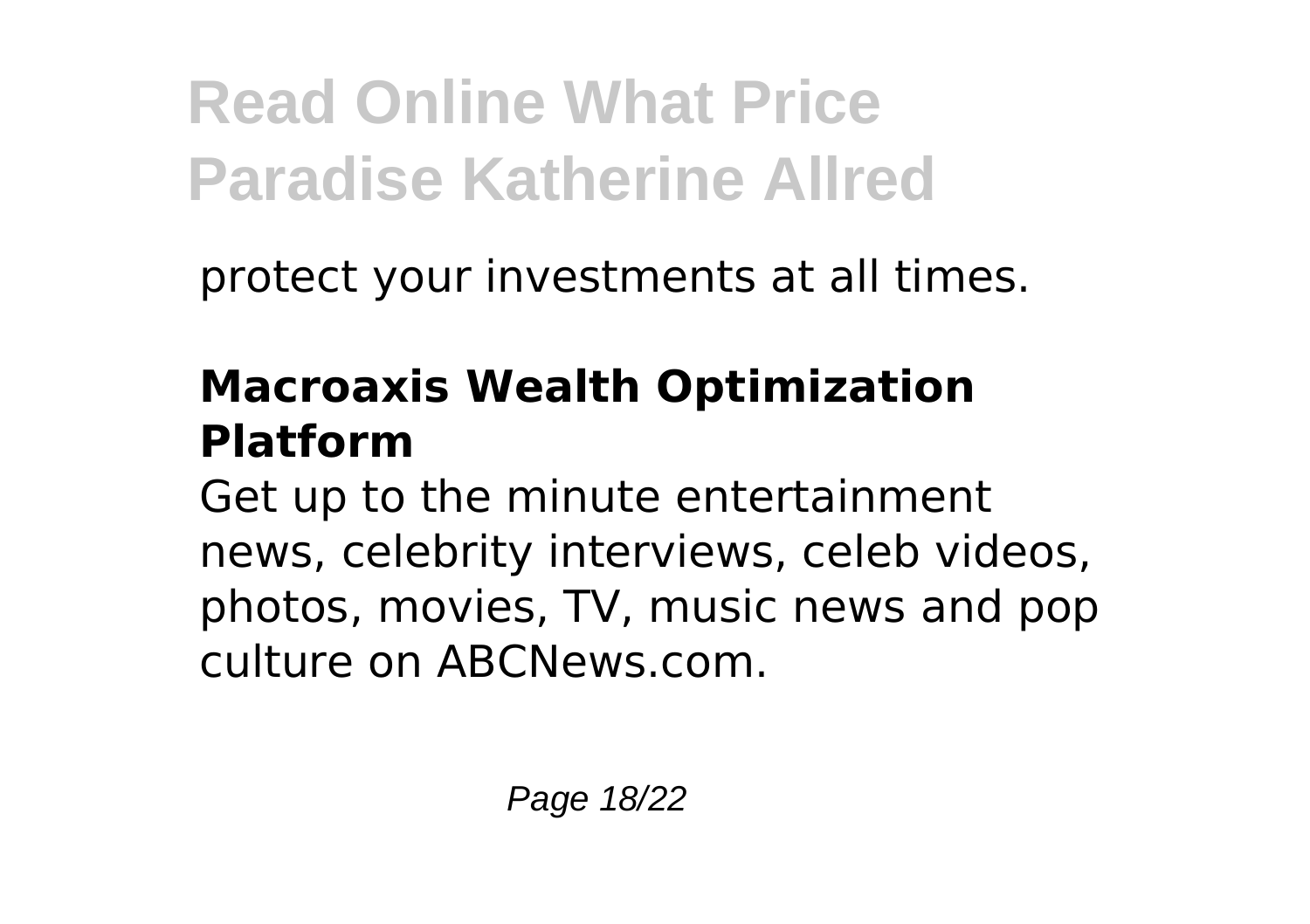protect your investments at all times.

### **Macroaxis Wealth Optimization Platform**

Get up to the minute entertainment news, celebrity interviews, celeb videos, photos, movies, TV, music news and pop culture on ABCNews.com.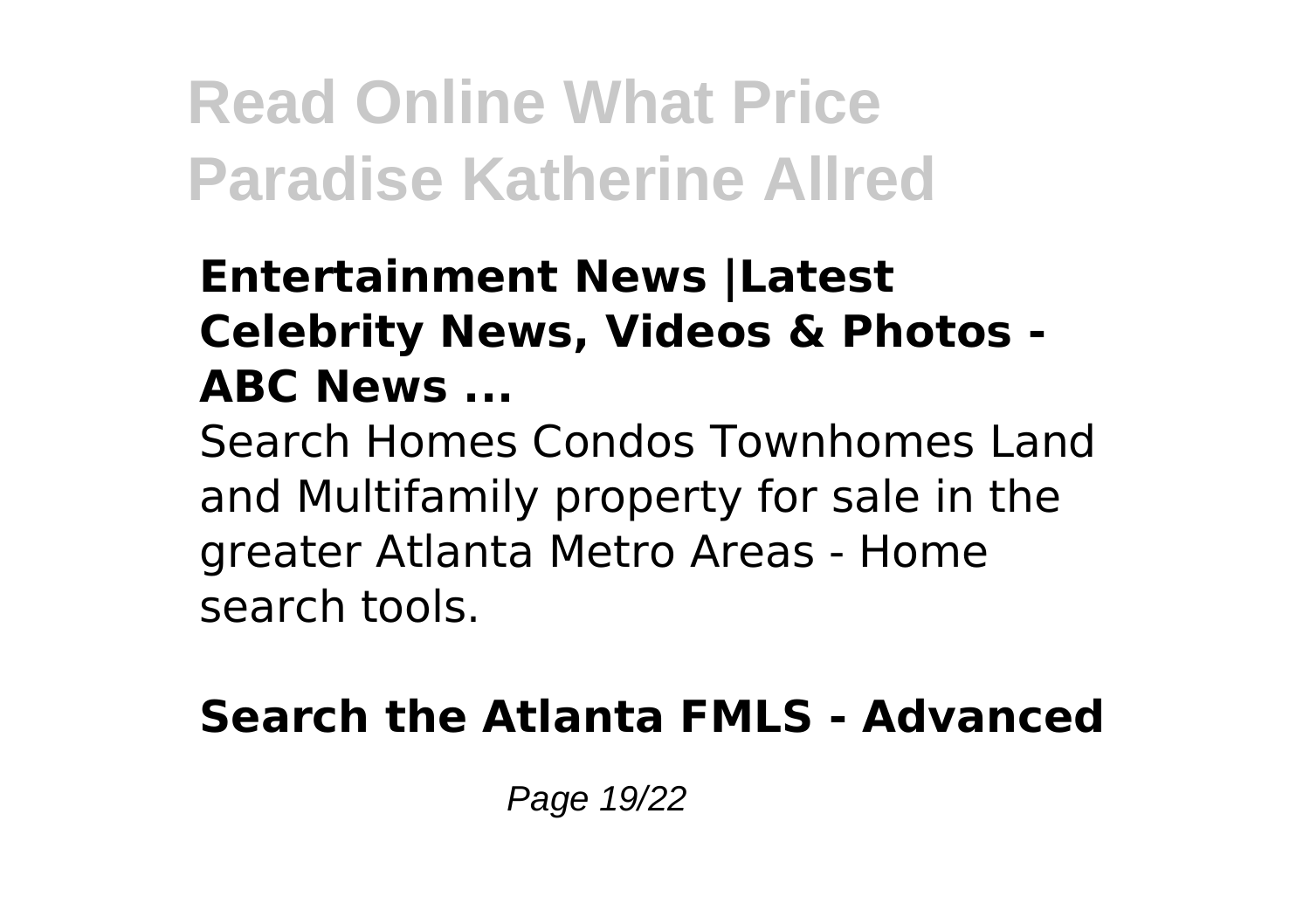#### **Entertainment News |Latest Celebrity News, Videos & Photos - ABC News ...**

Search Homes Condos Townhomes Land and Multifamily property for sale in the greater Atlanta Metro Areas - Home search tools.

#### **Search the Atlanta FMLS - Advanced**

Page 19/22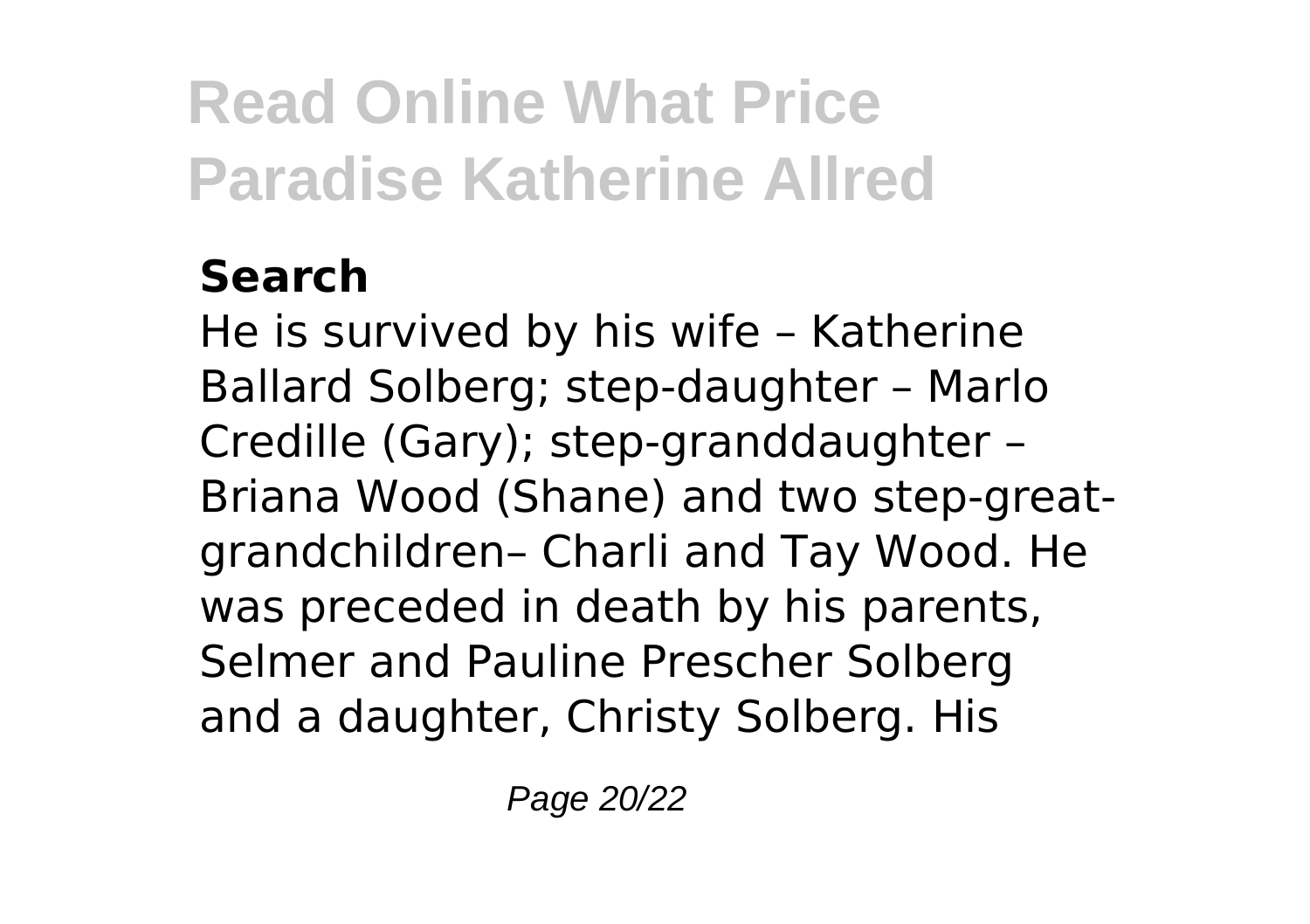### **Search**

He is survived by his wife – Katherine Ballard Solberg; step-daughter – Marlo Credille (Gary); step-granddaughter – Briana Wood (Shane) and two step-greatgrandchildren– Charli and Tay Wood. He was preceded in death by his parents, Selmer and Pauline Prescher Solberg and a daughter, Christy Solberg. His

Page 20/22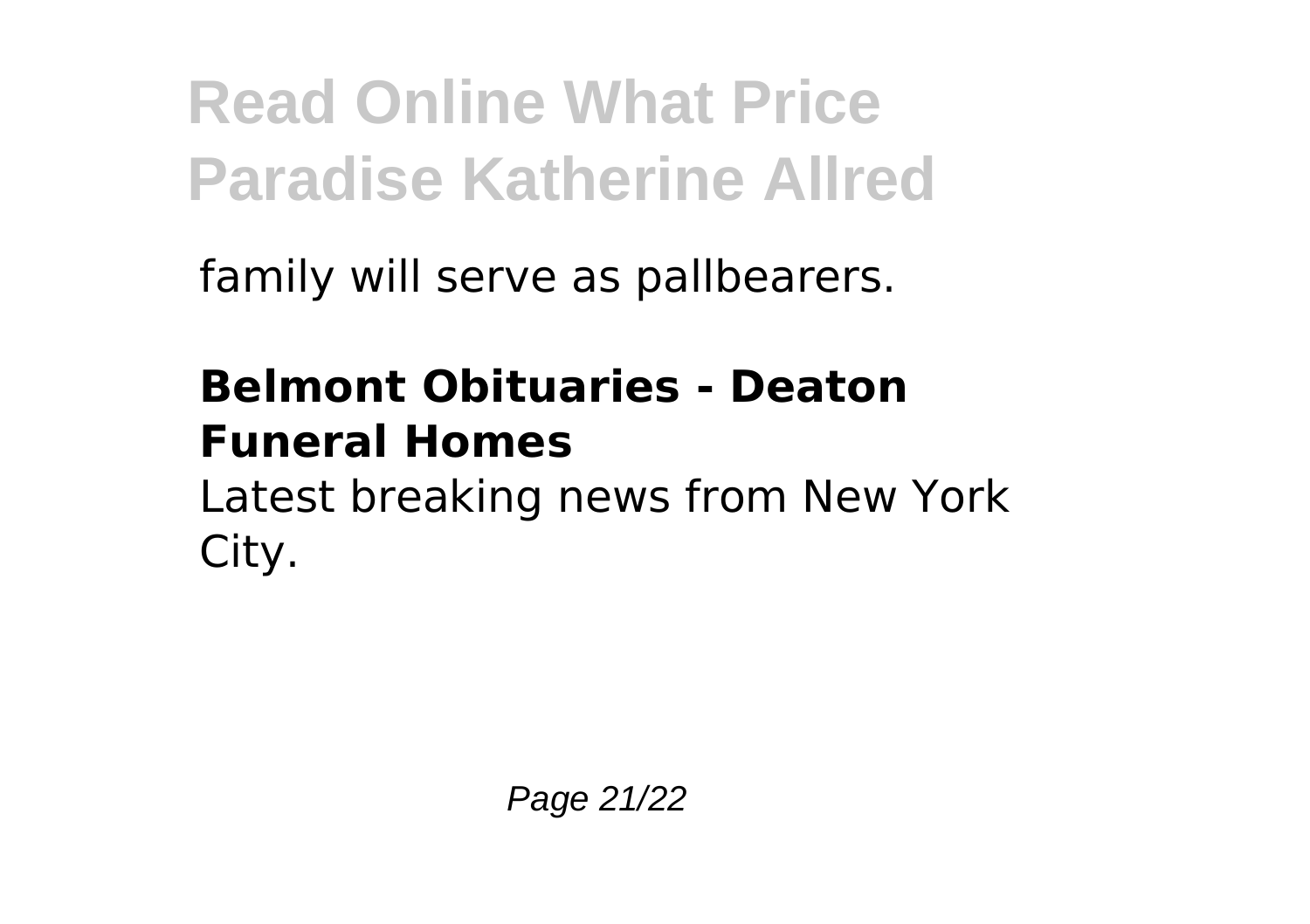family will serve as pallbearers.

### **Belmont Obituaries - Deaton Funeral Homes**

Latest breaking news from New York City.

Page 21/22